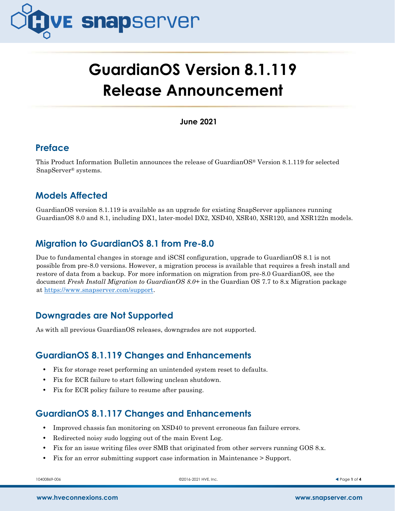

# **GuardianOS Version 8.1.119 Release Announcement**

**June 2021**

# **Preface**

This Product Information Bulletin announces the release of GuardianOS® Version 8.1.119 for selected SnapServer® systems.

# **Models Affected**

GuardianOS version 8.1.119 is available as an upgrade for existing SnapServer appliances running GuardianOS 8.0 and 8.1, including DX1, later-model DX2, XSD40, XSR40, XSR120, and XSR122n models.

# **Migration to GuardianOS 8.1 from Pre-8.0**

Due to fundamental changes in storage and iSCSI configuration, upgrade to GuardianOS 8.1 is not possible from pre-8.0 versions. However, a migration process is available that requires a fresh install and restore of data from a backup. For more information on migration from pre-8.0 GuardianOS, see the document *Fresh Install Migration to GuardianOS 8.0+* in the Guardian OS 7.7 to 8.x Migration package at [https://www.snapserver.com/support.](https://www.snapserver.com/support/support_files/GuardianOS-7-7-to-8-x-migration-zip)

# **Downgrades are Not Supported**

As with all previous GuardianOS releases, downgrades are not supported.

### **GuardianOS 8.1.119 Changes and Enhancements**

- **•** Fix for storage reset performing an unintended system reset to defaults.
- **•** Fix for ECR failure to start following unclean shutdown.
- **•** Fix for ECR policy failure to resume after pausing.

# **GuardianOS 8.1.117 Changes and Enhancements**

- **•** Improved chassis fan monitoring on XSD40 to prevent erroneous fan failure errors.
- Redirected noisy sudo logging out of the main Event Log.
- **•** Fix for an issue writing files over SMB that originated from other servers running GOS 8.x.
- **•** Fix for an error submitting support case information in Maintenance > Support.

10400869-006 ©2016-2021 HVE, Inc. Page **1** of **4**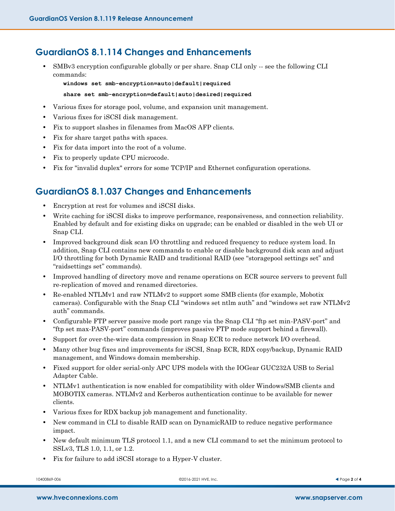### **GuardianOS 8.1.114 Changes and Enhancements**

• SMBv3 encryption configurable globally or per share. Snap CLI only -- see the following CLI commands:

**windows set smb-encryption=auto|default|required**

#### **share set smb-encryption=default|auto|desired|required**

- **•** Various fixes for storage pool, volume, and expansion unit management.
- **•** Various fixes for iSCSI disk management.
- **•** Fix to support slashes in filenames from MacOS AFP clients.
- **•** Fix for share target paths with spaces.
- **•** Fix for data import into the root of a volume.
- **•** Fix to properly update CPU microcode.
- **•** Fix for "invalid duplex" errors for some TCP/IP and Ethernet configuration operations.

### **GuardianOS 8.1.037 Changes and Enhancements**

- **•** Encryption at rest for volumes and iSCSI disks.
- **•** Write caching for iSCSI disks to improve performance, responsiveness, and connection reliability. Enabled by default and for existing disks on upgrade; can be enabled or disabled in the web UI or Snap CLI.
- Improved background disk scan I/O throttling and reduced frequency to reduce system load. In addition, Snap CLI contains new commands to enable or disable background disk scan and adjust I/O throttling for both Dynamic RAID and traditional RAID (see "storagepool settings set" and "raidsettings set" commands).
- Improved handling of directory move and rename operations on ECR source servers to prevent full re-replication of moved and renamed directories.
- **•** Re-enabled NTLMv1 and raw NTLMv2 to support some SMB clients (for example, Mobotix cameras). Configurable with the Snap CLI "windows set ntlm auth" and "windows set raw NTLMv2 auth" commands.
- **•** Configurable FTP server passive mode port range via the Snap CLI "ftp set min-PASV-port" and "ftp set max-PASV-port" commands (improves passive FTP mode support behind a firewall).
- **•** Support for over-the-wire data compression in Snap ECR to reduce network I/O overhead.
- **•** Many other bug fixes and improvements for iSCSI, Snap ECR, RDX copy/backup, Dynamic RAID management, and Windows domain membership.
- **•** Fixed support for older serial-only APC UPS models with the IOGear GUC232A USB to Serial Adapter Cable.
- **•** NTLMv1 authentication is now enabled for compatibility with older Windows/SMB clients and MOBOTIX cameras. NTLMv2 and Kerberos authentication continue to be available for newer clients.
- **•** Various fixes for RDX backup job management and functionality.
- **•** New command in CLI to disable RAID scan on DynamicRAID to reduce negative performance impact.
- New default minimum TLS protocol 1.1, and a new CLI command to set the minimum protocol to SSLv3, TLS 1.0, 1.1, or 1.2.
- **•** Fix for failure to add iSCSI storage to a Hyper-V cluster.

10400869-006 ©2016-2021 HVE, Inc. Page **2** of **4**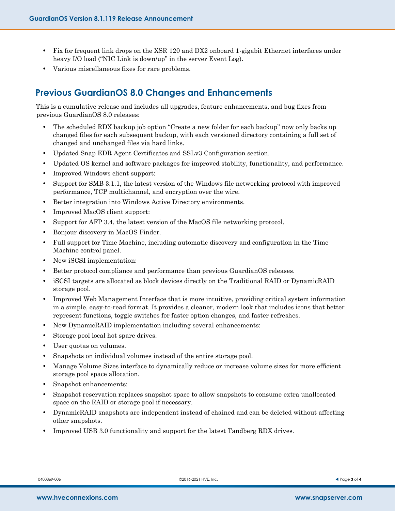- **•** Fix for frequent link drops on the XSR 120 and DX2 onboard 1-gigabit Ethernet interfaces under heavy I/O load ("NIC Link is down/up" in the server Event Log).
- **•** Various miscellaneous fixes for rare problems.

# **Previous GuardianOS 8.0 Changes and Enhancements**

This is a cumulative release and includes all upgrades, feature enhancements, and bug fixes from previous GuardianOS 8.0 releases:

- **•** The scheduled RDX backup job option "Create a new folder for each backup" now only backs up changed files for each subsequent backup, with each versioned directory containing a full set of changed and unchanged files via hard links.
- **•** Updated Snap EDR Agent Certificates and SSLv3 Configuration section.
- **•** Updated OS kernel and software packages for improved stability, functionality, and performance.
- **•** Improved Windows client support:
- **•** Support for SMB 3.1.1, the latest version of the Windows file networking protocol with improved performance, TCP multichannel, and encryption over the wire.
- **•** Better integration into Windows Active Directory environments.
- **•** Improved MacOS client support:
- **•** Support for AFP 3.4, the latest version of the MacOS file networking protocol.
- **•** Bonjour discovery in MacOS Finder.
- **•** Full support for Time Machine, including automatic discovery and configuration in the Time Machine control panel.
- **•** New iSCSI implementation:
- **•** Better protocol compliance and performance than previous GuardianOS releases.
- **•** iSCSI targets are allocated as block devices directly on the Traditional RAID or DynamicRAID storage pool.
- Improved Web Management Interface that is more intuitive, providing critical system information in a simple, easy-to-read format. It provides a cleaner, modern look that includes icons that better represent functions, toggle switches for faster option changes, and faster refreshes.
- **•** New DynamicRAID implementation including several enhancements:
- **•** Storage pool local hot spare drives.
- **•** User quotas on volumes.
- **•** Snapshots on individual volumes instead of the entire storage pool.
- Manage Volume Sizes interface to dynamically reduce or increase volume sizes for more efficient storage pool space allocation.
- **•** Snapshot enhancements:
- **•** Snapshot reservation replaces snapshot space to allow snapshots to consume extra unallocated space on the RAID or storage pool if necessary.
- **•** DynamicRAID snapshots are independent instead of chained and can be deleted without affecting other snapshots.
- **•** Improved USB 3.0 functionality and support for the latest Tandberg RDX drives.